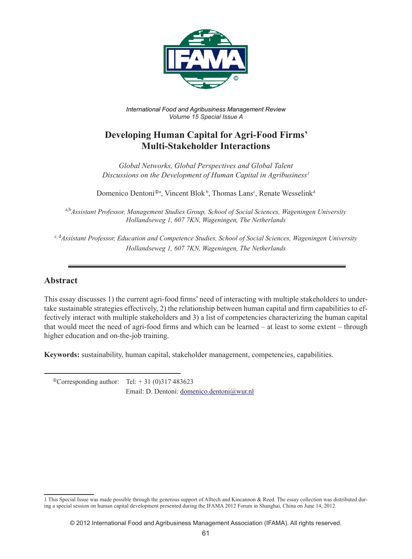

*International Food and Agribusiness Management Review Volume 15 Special Issue A*

# **Developing Human Capital for Agri-Food Firms' Multi-Stakeholder Interactions**

*Global Networks, Global Perspectives and Global Talent Discussions on the Development of Human Capital in Agribusiness1*

Domenico Dentoni<sup>®a</sup>, Vincent Blok<sup>b</sup>, Thomas Lans<sup>c</sup>, Renate Wesselink<sup>d</sup>

<sup>a,b</sup>Assistant Professor, Management Studies Group, School of Social Sciences, Wageningen University *Hollandseweg 1, 607 7KN, Wageningen, The Netherlands*

c, d *Assistant Professor, Education and Competence Studies, School of Social Sciences, Wageningen University Hollandseweg 1, 607 7KN, Wageningen, The Netherlands*

## **Abstract**

This essay discusses 1) the current agri-food firms' need of interacting with multiple stakeholders to undertake sustainable strategies effectively, 2) the relationship between human capital and firm capabilities to effectively interact with multiple stakeholders and 3) a list of competencies characterizing the human capital that would meet the need of agri-food firms and which can be learned – at least to some extent – through higher education and on-the-job training.

**Keywords:** sustainability, human capital, stakeholder management, competencies, capabilities.

 ${}^{\circ}$ Corresponding author: Tel: + 31 (0)317 483623 Email: D. Dentoni: domenico.dentoni@wur.nl

<sup>1</sup> This Special Issue was made possible through the generous support of Alltech and Kincannon & Reed. The essay collection was distributed during a special session on human capital development presented during the IFAMA 2012 Forum in Shanghai, China on June 14, 2012.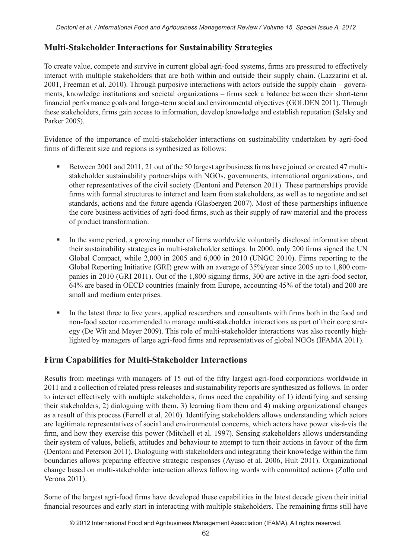## **Multi-Stakeholder Interactions for Sustainability Strategies**

To create value, compete and survive in current global agri-food systems, firms are pressured to effectively interact with multiple stakeholders that are both within and outside their supply chain. (Lazzarini et al. 2001, Freeman et al. 2010). Through purposive interactions with actors outside the supply chain – governments, knowledge institutions and societal organizations – firms seek a balance between their short-term financial performance goals and longer-term social and environmental objectives (GOLDEN 2011). Through these stakeholders, firms gain access to information, develop knowledge and establish reputation (Selsky and Parker 2005).

Evidence of the importance of multi-stakeholder interactions on sustainability undertaken by agri-food firms of different size and regions is synthesized as follows:

- Between 2001 and 2011, 21 out of the 50 largest agribusiness firms have joined or created 47 multistakeholder sustainability partnerships with NGOs, governments, international organizations, and other representatives of the civil society (Dentoni and Peterson 2011). These partnerships provide firms with formal structures to interact and learn from stakeholders, as well as to negotiate and set standards, actions and the future agenda (Glasbergen 2007). Most of these partnerships influence the core business activities of agri-food firms, such as their supply of raw material and the process of product transformation.
- In the same period, a growing number of firms worldwide voluntarily disclosed information about their sustainability strategies in multi-stakeholder settings. In 2000, only 200 firms signed the UN Global Compact, while 2,000 in 2005 and 6,000 in 2010 (UNGC 2010). Firms reporting to the Global Reporting Initiative (GRI) grew with an average of 35%/year since 2005 up to 1,800 companies in 2010 (GRI 2011). Out of the 1,800 signing firms, 300 are active in the agri-food sector, 64% are based in OECD countries (mainly from Europe, accounting 45% of the total) and 200 are small and medium enterprises.
- In the latest three to five years, applied researchers and consultants with firms both in the food and non-food sector recommended to manage multi-stakeholder interactions as part of their core strategy (De Wit and Meyer 2009). This role of multi-stakeholder interactions was also recently highlighted by managers of large agri-food firms and representatives of global NGOs (IFAMA 2011).

## **Firm Capabilities for Multi-Stakeholder Interactions**

Results from meetings with managers of 15 out of the fifty largest agri-food corporations worldwide in 2011 and a collection of related press releases and sustainability reports are synthesized as follows. In order to interact effectively with multiple stakeholders, firms need the capability of 1) identifying and sensing their stakeholders, 2) dialoguing with them, 3) learning from them and 4) making organizational changes as a result of this process (Ferrell et al. 2010). Identifying stakeholders allows understanding which actors are legitimate representatives of social and environmental concerns, which actors have power vis-à-vis the firm, and how they exercise this power (Mitchell et al. 1997). Sensing stakeholders allows understanding their system of values, beliefs, attitudes and behaviour to attempt to turn their actions in favour of the firm (Dentoni and Peterson 2011). Dialoguing with stakeholders and integrating their knowledge within the firm boundaries allows preparing effective strategic responses (Ayuso et al. 2006, Hult 2011). Organizational change based on multi-stakeholder interaction allows following words with committed actions (Zollo and Verona 2011).

Some of the largest agri-food firms have developed these capabilities in the latest decade given their initial financial resources and early start in interacting with multiple stakeholders. The remaining firms still have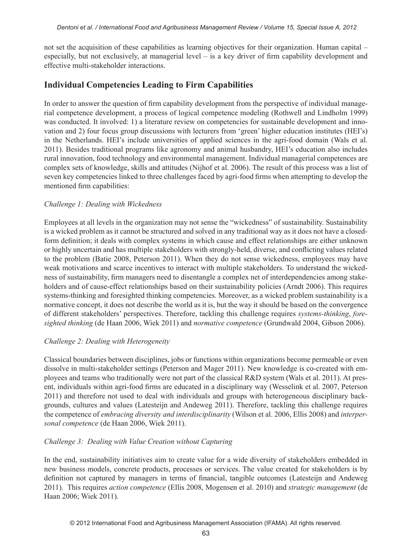not set the acquisition of these capabilities as learning objectives for their organization. Human capital – especially, but not exclusively, at managerial level – is a key driver of firm capability development and effective multi-stakeholder interactions.

### **Individual Competencies Leading to Firm Capabilities**

In order to answer the question of firm capability development from the perspective of individual managerial competence development, a process of logical competence modeling (Rothwell and Lindholm 1999) was conducted. It involved: 1) a literature review on competencies for sustainable development and innovation and 2) four focus group discussions with lecturers from 'green' higher education institutes (HEI's) in the Netherlands. HEI's include universities of applied sciences in the agri-food domain (Wals et al. 2011). Besides traditional programs like agronomy and animal husbandry, HEI's education also includes rural innovation, food technology and environmental management. Individual managerial competences are complex sets of knowledge, skills and attitudes (Nijhof et al. 2006). The result of this process was a list of seven key competencies linked to three challenges faced by agri-food firms when attempting to develop the mentioned firm capabilities:

#### *Challenge 1: Dealing with Wickedness*

Employees at all levels in the organization may not sense the "wickedness" of sustainability. Sustainability is a wicked problem as it cannot be structured and solved in any traditional way as it does not have a closedform definition; it deals with complex systems in which cause and effect relationships are either unknown or highly uncertain and has multiple stakeholders with strongly-held, diverse, and conflicting values related to the problem (Batie 2008, Peterson 2011). When they do not sense wickedness, employees may have weak motivations and scarce incentives to interact with multiple stakeholders. To understand the wickedness of sustainability, firm managers need to disentangle a complex net of interdependencies among stakeholders and of cause-effect relationships based on their sustainability policies (Arndt 2006). This requires systems-thinking and foresighted thinking competencies. Moreover, as a wicked problem sustainability is a normative concept, it does not describe the world as it is, but the way it should be based on the convergence of different stakeholders' perspectives. Therefore, tackling this challenge requires *systems-thinking*, *foresighted thinking* (de Haan 2006, Wiek 2011) and *normative competence* (Grundwald 2004, Gibson 2006).

#### *Challenge 2: Dealing with Heterogeneity*

Classical boundaries between disciplines, jobs or functions within organizations become permeable or even dissolve in multi-stakeholder settings (Peterson and Mager 2011). New knowledge is co-created with employees and teams who traditionally were not part of the classical R&D system (Wals et al. 2011). At present, individuals within agri-food firms are educated in a disciplinary way (Wesselink et al. 2007, Peterson 2011) and therefore not used to deal with individuals and groups with heterogeneous disciplinary backgrounds, cultures and values (Latesteijn and Andeweg 2011). Therefore, tackling this challenge requires the competence of *embracing diversity and interdisciplinarity* (Wilson et al. 2006, Ellis 2008) and *interpersonal competence* (de Haan 2006, Wiek 2011).

#### *Challenge 3: Dealing with Value Creation without Capturing*

In the end, sustainability initiatives aim to create value for a wide diversity of stakeholders embedded in new business models, concrete products, processes or services. The value created for stakeholders is by definition not captured by managers in terms of financial, tangible outcomes (Latesteijn and Andeweg 2011). This requires *action competence* (Ellis 2008, Mogensen et al. 2010) and *strategic management* (de Haan 2006; Wiek 2011).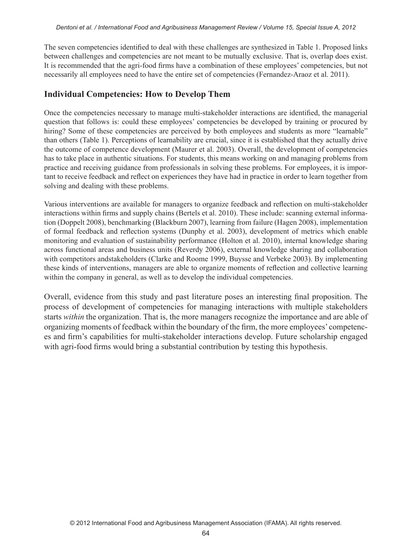The seven competencies identified to deal with these challenges are synthesized in Table 1. Proposed links between challenges and competencies are not meant to be mutually exclusive. That is, overlap does exist. It is recommended that the agri-food firms have a combination of these employees' competencies, but not necessarily all employees need to have the entire set of competencies (Fernandez-Araoz et al. 2011).

## **Individual Competencies: How to Develop Them**

Once the competencies necessary to manage multi-stakeholder interactions are identified, the managerial question that follows is: could these employees' competencies be developed by training or procured by hiring? Some of these competencies are perceived by both employees and students as more "learnable" than others (Table 1). Perceptions of learnability are crucial, since it is established that they actually drive the outcome of competence development (Maurer et al. 2003). Overall, the development of competencies has to take place in authentic situations. For students, this means working on and managing problems from practice and receiving guidance from professionals in solving these problems. For employees, it is important to receive feedback and reflect on experiences they have had in practice in order to learn together from solving and dealing with these problems.

Various interventions are available for managers to organize feedback and reflection on multi-stakeholder interactions within firms and supply chains (Bertels et al. 2010). These include: scanning external information (Doppelt 2008), benchmarking (Blackburn 2007), learning from failure (Hagen 2008), implementation of formal feedback and reflection systems (Dunphy et al. 2003), development of metrics which enable monitoring and evaluation of sustainability performance (Holton et al. 2010), internal knowledge sharing across functional areas and business units (Reverdy 2006), external knowledge sharing and collaboration with competitors andstakeholders (Clarke and Roome 1999, Buysse and Verbeke 2003). By implementing these kinds of interventions, managers are able to organize moments of reflection and collective learning within the company in general, as well as to develop the individual competencies.

Overall, evidence from this study and past literature poses an interesting final proposition. The process of development of competencies for managing interactions with multiple stakeholders starts *within* the organization. That is, the more managers recognize the importance and are able of organizing moments of feedback within the boundary of the firm, the more employees' competences and firm's capabilities for multi-stakeholder interactions develop. Future scholarship engaged with agri-food firms would bring a substantial contribution by testing this hypothesis.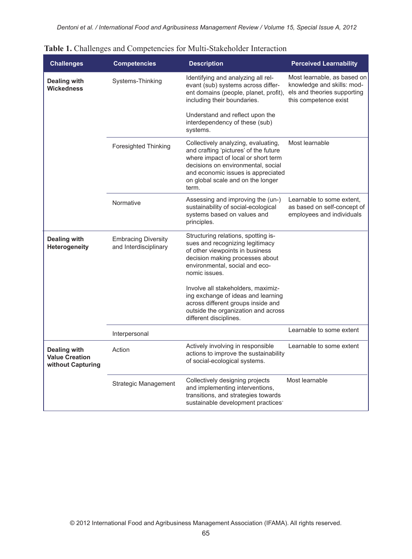| <b>Challenges</b>                                                 | <b>Competencies</b>                                 | <b>Description</b>                                                                                                                                                                                                                            | <b>Perceived Learnability</b>                                                                                     |
|-------------------------------------------------------------------|-----------------------------------------------------|-----------------------------------------------------------------------------------------------------------------------------------------------------------------------------------------------------------------------------------------------|-------------------------------------------------------------------------------------------------------------------|
| <b>Dealing with</b><br><b>Wickedness</b>                          | Systems-Thinking                                    | Identifying and analyzing all rel-<br>evant (sub) systems across differ-<br>ent domains (people, planet, profit),<br>including their boundaries.                                                                                              | Most learnable, as based on<br>knowledge and skills: mod-<br>els and theories supporting<br>this competence exist |
|                                                                   |                                                     | Understand and reflect upon the<br>interdependency of these (sub)<br>systems.                                                                                                                                                                 |                                                                                                                   |
|                                                                   | <b>Foresighted Thinking</b>                         | Collectively analyzing, evaluating,<br>and crafting 'pictures' of the future<br>where impact of local or short term<br>decisions on environmental, social<br>and economic issues is appreciated<br>on global scale and on the longer<br>term. | Most learnable                                                                                                    |
|                                                                   | Normative                                           | Assessing and improving the (un-)<br>sustainability of social-ecological<br>systems based on values and<br>principles.                                                                                                                        | Learnable to some extent.<br>as based on self-concept of<br>employees and individuals                             |
| <b>Dealing with</b><br>Heterogeneity                              | <b>Embracing Diversity</b><br>and Interdisciplinary | Structuring relations, spotting is-<br>sues and recognizing legitimacy<br>of other viewpoints in business<br>decision making processes about<br>environmental, social and eco-<br>nomic issues.                                               |                                                                                                                   |
|                                                                   |                                                     | Involve all stakeholders, maximiz-<br>ing exchange of ideas and learning<br>across different groups inside and<br>outside the organization and across<br>different disciplines.                                                               |                                                                                                                   |
|                                                                   | Interpersonal                                       |                                                                                                                                                                                                                                               | Learnable to some extent                                                                                          |
| <b>Dealing with</b><br><b>Value Creation</b><br>without Capturing | Action                                              | Actively involving in responsible<br>actions to improve the sustainability<br>of social-ecological systems.                                                                                                                                   | Learnable to some extent                                                                                          |
|                                                                   | <b>Strategic Management</b>                         | Collectively designing projects<br>and implementing interventions,<br>transitions, and strategies towards<br>sustainable development practices <sup>-</sup>                                                                                   | Most learnable                                                                                                    |

|  |  | Table 1. Challenges and Competencies for Multi-Stakeholder Interaction |  |  |  |  |
|--|--|------------------------------------------------------------------------|--|--|--|--|
|--|--|------------------------------------------------------------------------|--|--|--|--|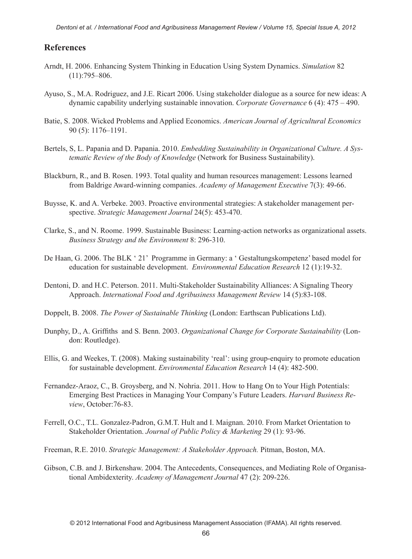#### **References**

- Arndt, H. 2006. Enhancing System Thinking in Education Using System Dynamics. *Simulation* 82 (11):795–806.
- Ayuso, S., M.A. Rodriguez, and J.E. Ricart 2006. Using stakeholder dialogue as a source for new ideas: A dynamic capability underlying sustainable innovation. *Corporate Governance* 6 (4): 475 – 490.
- Batie, S. 2008. Wicked Problems and Applied Economics. *American Journal of Agricultural Economics* 90 (5): 1176–1191.
- Bertels, S, L. Papania and D. Papania. 2010. *Embedding Sustainability in Organizational Culture. A Systematic Review of the Body of Knowledge* (Network for Business Sustainability).
- Blackburn, R., and B. Rosen. 1993. Total quality and human resources management: Lessons learned from Baldrige Award-winning companies. *Academy of Management Executive* 7(3): 49-66.
- Buysse, K. and A. Verbeke. 2003. Proactive environmental strategies: A stakeholder management perspective. *Strategic Management Journal* 24(5): 453-470.
- Clarke, S., and N. Roome. 1999. Sustainable Business: Learning-action networks as organizational assets. *Business Strategy and the Environment* 8: 296-310.
- De Haan, G. 2006. The BLK '21' Programme in Germany: a ' Gestaltungskompetenz' based model for education for sustainable development. *Environmental Education Research* 12 (1):19-32.
- Dentoni, D. and H.C. Peterson. 2011. Multi-Stakeholder Sustainability Alliances: A Signaling Theory Approach. *International Food and Agribusiness Management Review* 14 (5):83-108.
- Doppelt, B. 2008. *The Power of Sustainable Thinking* (London: Earthscan Publications Ltd).
- Dunphy, D., A. Griffiths and S. Benn. 2003. *Organizational Change for Corporate Sustainability* (London: Routledge).
- Ellis, G. and Weekes, T. (2008). Making sustainability 'real': using group-enquiry to promote education for sustainable development. *Environmental Education Research* 14 (4): 482-500.
- Fernandez-Araoz, C., B. Groysberg, and N. Nohria. 2011. How to Hang On to Your High Potentials: Emerging Best Practices in Managing Your Company's Future Leaders. *Harvard Business Review*, October:76-83.
- Ferrell, O.C., T.L. Gonzalez-Padron, G.M.T. Hult and I. Maignan. 2010. From Market Orientation to Stakeholder Orientation. *Journal of Public Policy & Marketing* 29 (1): 93-96.
- Freeman, R.E. 2010. *Strategic Management: A Stakeholder Approach.* Pitman, Boston, MA.
- Gibson, C.B. and J. Birkenshaw. 2004. The Antecedents, Consequences, and Mediating Role of Organisational Ambidexterity. *Academy of Management Journal* 47 (2): 209-226.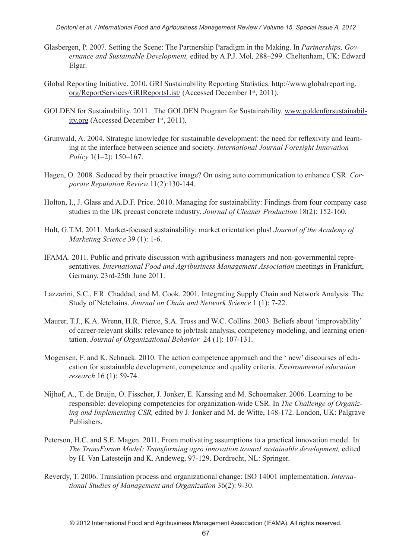*Dentoni et al. / International Food and Agribusiness Management Review / Volume 15, Special Issue A, 2012*

- Glasbergen, P. 2007. Setting the Scene: The Partnership Paradigm in the Making. In *Partnerships, Governance and Sustainable Development,* edited by A.P.J. Mol*,* 288–299. Cheltenham, UK: Edward Elgar.
- Global Reporting Initiative. 2010. GRI Sustainability Reporting Statistics. http://www.globalreporting. org/ReportServices/GRIReportsList/ (Accessed December 1st, 2011).
- GOLDEN for Sustainability. 2011. The GOLDEN Program for Sustainability. www.goldenforsustainability.org (Accessed December 1st, 2011).
- Grunwald, A. 2004. Strategic knowledge for sustainable development: the need for reflexivity and learning at the interface between science and society. *International Journal Foresight Innovation Policy* 1(1–2): 150–167.
- Hagen, O. 2008. Seduced by their proactive image? On using auto communication to enhance CSR. *Corporate Reputation Review* 11(2):130-144.
- Holton, I., J. Glass and A.D.F. Price. 2010. Managing for sustainability: Findings from four company case studies in the UK precast concrete industry. *Journal of Cleaner Production* 18(2): 152-160.
- Hult, G.T.M. 2011. Market-focused sustainability: market orientation plus! *Journal of the Academy of Marketing Science* 39 (1): 1-6.
- IFAMA. 2011. Public and private discussion with agribusiness managers and non-governmental representatives. *International Food and Agribusiness Management Association* meetings in Frankfurt, Germany, 23rd-25th June 2011.
- Lazzarini, S.C., F.R. Chaddad, and M. Cook. 2001. Integrating Supply Chain and Network Analysis: The Study of Netchains. *Journal on Chain and Network Science* 1 (1): 7-22.
- Maurer, T.J., K.A. Wrenn, H.R. Pierce, S.A. Tross and W.C. Collins. 2003. Beliefs about 'improvability' of career-relevant skills: relevance to job/task analysis, competency modeling, and learning orientation. *Journal of Organizational Behavior* 24 (1): 107-131.
- Mogensen, F. and K. Schnack. 2010. The action competence approach and the ' new' discourses of education for sustainable development, competence and quality criteria. *Environmental education research* 16 (1): 59-74.
- Nijhof, A., T. de Bruijn, O. Fisscher, J. Jonker, E. Karssing and M. Schoemaker. 2006. Learning to be responsible: developing competencies for organization-wide CSR. In *The Challenge of Organizing and Implementing CSR,* edited by J. Jonker and M. de Witte, 148-172. London, UK: Palgrave Publishers.
- Peterson, H.C. and S.E. Magen. 2011. From motivating assumptions to a practical innovation model. In *The TransForum Model: Transforming agro innovation toward sustainable development,* edited by H. Van Latesteijn and K. Andeweg, 97-129. Dordrecht, NL: Springer.
- Reverdy, T. 2006. Translation process and organizational change: ISO 14001 implementation. *International Studies of Management and Organization* 36(2): 9-30.